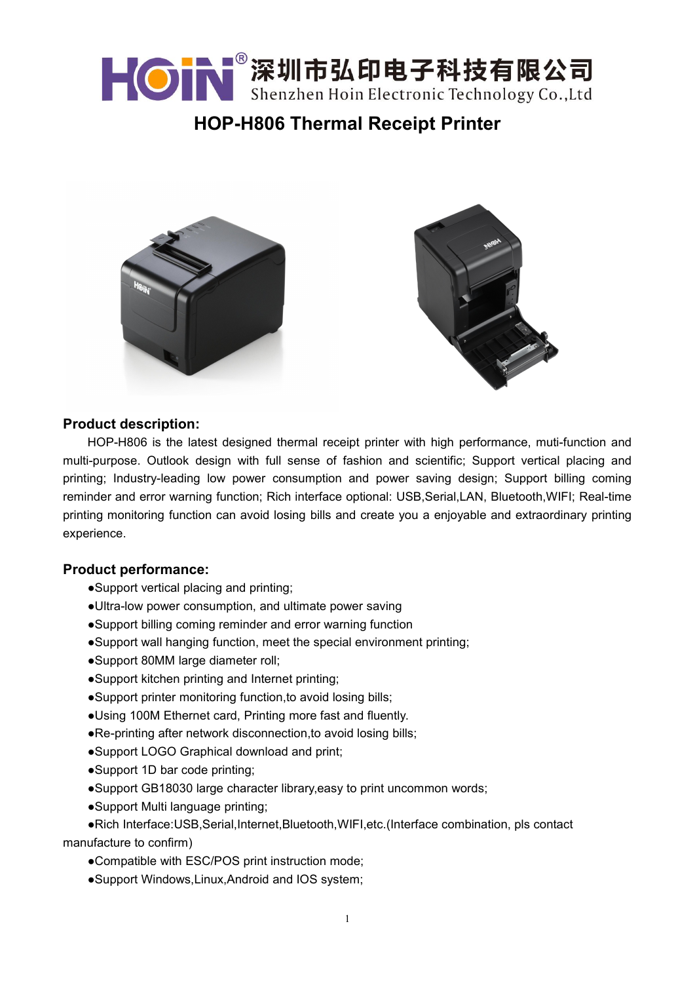

# **HOP-H806 Thermal Receipt Printer**





### **Product description:**

HOP-H806 is the latest designed thermal receipt printer with high performance, muti-function and multi-purpose. Outlook design with full sense of fashion and scientific; Support vertical placing and printing; Industry-leading low power consumption and power saving design; Support billing coming reminder and error warning function; Rich interface optional: USB,Serial,LAN, Bluetooth,WIFI; Real-time printing monitoring function can avoid losing bills and create you a enjoyable and extraordinary printing experience.

### **Product performance:**

- ●Support vertical placing and printing;
- ●Ultra-low power consumption, and ultimate power saving
- ●Support billing coming reminderand error warning function
- ●Support wall hanging function, meet the special environment printing;
- ●Support 80MM large diameter roll;
- ●Support kitchen printing and Internet printing;
- ●Support printer monitoring function,to avoid losing bills;
- ●Using 100M Ethernet card, Printing more fast and fluently.
- ●Re-printing after network disconnection,to avoid losing bills;
- ●Support LOGO Graphical download and print;
- ●Support 1D bar code printing;
- ●Support GB18030 large character library,easy to print uncommon words;
- ●Support Multi language printing;
- ●Rich Interface:USB,Serial,Internet,Bluetooth,WIFI,etc.(Interface combination, pls contact manufacture to confirm)
	- ●Compatible with ESC/POS print instruction mode;
	- ●Support Windows,Linux,Android and IOS system;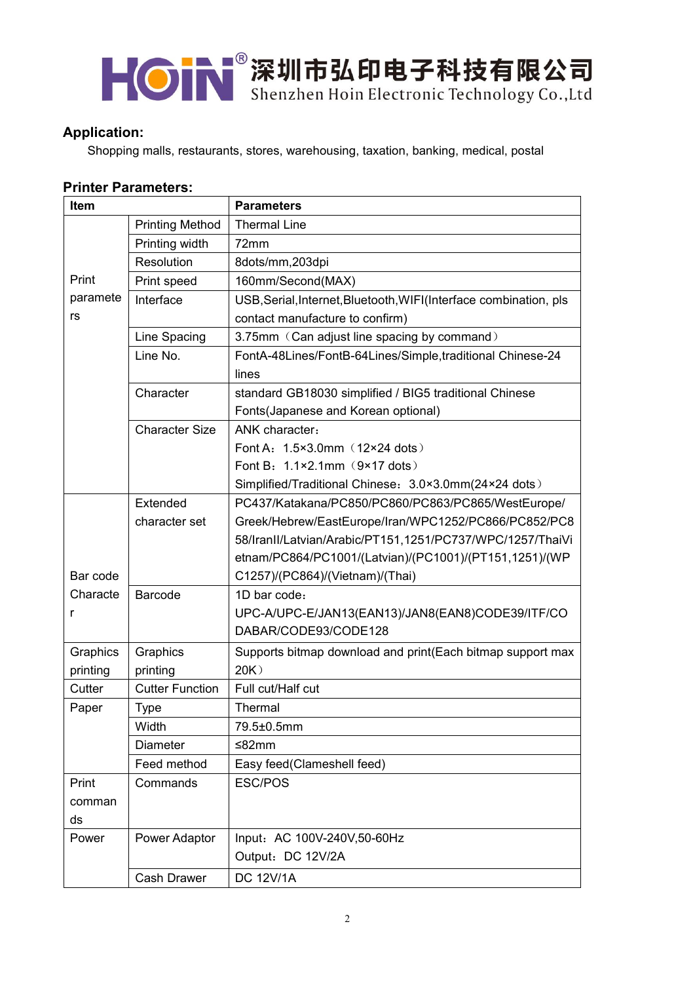# KON 深圳市弘印电子科技有限公司

# **Application:**

Shopping malls, restaurants, stores, warehousing, taxation, banking, medical, postal

## **Printer Parameters:**

| Item     |                        | <b>Parameters</b>                                                 |
|----------|------------------------|-------------------------------------------------------------------|
|          | <b>Printing Method</b> | <b>Thermal Line</b>                                               |
|          | Printing width         | 72mm                                                              |
|          | Resolution             | 8dots/mm,203dpi                                                   |
| Print    | Print speed            | 160mm/Second(MAX)                                                 |
| paramete | Interface              | USB, Serial, Internet, Bluetooth, WIFI(Interface combination, pls |
| rs       |                        | contact manufacture to confirm)                                   |
|          | Line Spacing           | 3.75mm (Can adjust line spacing by command)                       |
|          | Line No.               | FontA-48Lines/FontB-64Lines/Simple, traditional Chinese-24        |
|          |                        | lines                                                             |
|          | Character              | standard GB18030 simplified / BIG5 traditional Chinese            |
|          |                        | Fonts(Japanese and Korean optional)                               |
|          | <b>Character Size</b>  | ANK character:                                                    |
|          |                        | Font A: 1.5×3.0mm (12×24 dots)                                    |
|          |                        | Font B: 1.1×2.1mm (9×17 dots)                                     |
|          |                        | Simplified/Traditional Chinese: 3.0×3.0mm(24×24 dots)             |
|          | Extended               | PC437/Katakana/PC850/PC860/PC863/PC865/WestEurope/                |
|          | character set          | Greek/Hebrew/EastEurope/Iran/WPC1252/PC866/PC852/PC8              |
|          |                        | 58/IranII/Latvian/Arabic/PT151,1251/PC737/WPC/1257/ThaiVi         |
|          |                        | etnam/PC864/PC1001/(Latvian)/(PC1001)/(PT151,1251)/(WP            |
| Bar code |                        | C1257)/(PC864)/(Vietnam)/(Thai)                                   |
| Characte | Barcode                | 1D bar code:                                                      |
| r        |                        | UPC-A/UPC-E/JAN13(EAN13)/JAN8(EAN8)CODE39/ITF/CO                  |
|          |                        | DABAR/CODE93/CODE128                                              |
| Graphics | Graphics               | Supports bitmap download and print(Each bitmap support max        |
| printing | printing               | 20K                                                               |
| Cutter   | <b>Cutter Function</b> | Full cut/Half cut                                                 |
| Paper    | <b>Type</b>            | Thermal                                                           |
|          | Width                  | 79.5±0.5mm                                                        |
|          | <b>Diameter</b>        | ≤82mm                                                             |
|          | Feed method            | Easy feed(Clameshell feed)                                        |
| Print    | Commands               | ESC/POS                                                           |
| comman   |                        |                                                                   |
| ds       |                        |                                                                   |
| Power    | Power Adaptor          | Input: AC 100V-240V,50-60Hz                                       |
|          |                        | Output: DC 12V/2A                                                 |
|          | Cash Drawer            | <b>DC 12V/1A</b>                                                  |